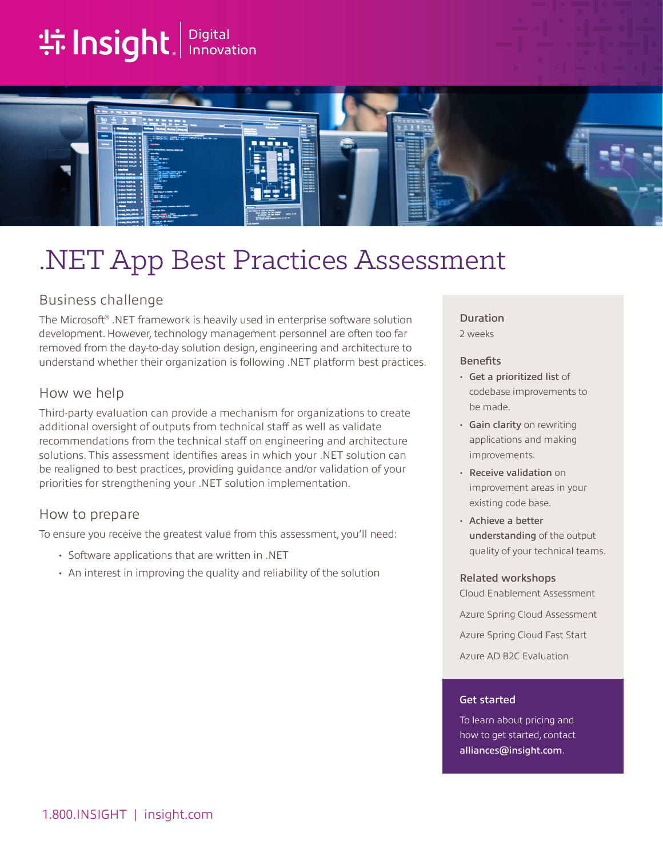# **tilnsight**. Innovation



## .NET App Best Practices Assessment

## Business challenge

The Microsoft® .NET framework is heavily used in enterprise software solution development. However, technology management personnel are often too far removed from the day-to-day solution design, engineering and architecture to understand whether their organization is following .NET platform best practices.

### How we help

Third-party evaluation can provide a mechanism for organizations to create additional oversight of outputs from technical staff as well as validate recommendations from the technical staff on engineering and architecture solutions. This assessment identifies areas in which your .NET solution can be realigned to best practices, providing guidance and/or validation of your priorities for strengthening your .NET solution implementation.

## How to prepare

To ensure you receive the greatest value from this assessment, you'll need:

- Software applications that are written in .NET
- An interest in improving the quality and reliability of the solution

#### Duration

2 weeks

#### **Benefits**

- Get a prioritized list of codebase improvements to be made.
- Gain clarity on rewriting applications and making improvements.
- Receive validation on improvement areas in your existing code base.
- Achieve a better understanding of the output quality of your technical teams.

#### Related workshops

Cloud Enablement Assessment Azure Spring Cloud Assessment Azure Spring Cloud Fast Start Azure AD B2C Evaluation

#### Get started

To learn about pricing and how to get started, contact [alliances@insight.com](mailto:alliances@insight.com).